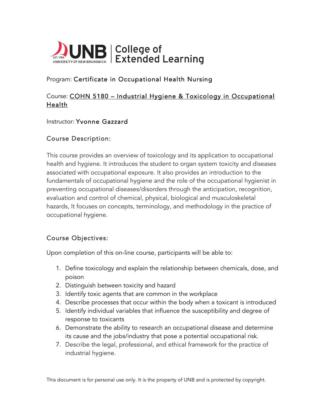

## Program: Certificate in Occupational Health Nursing

### Course: COHN 5180 – Industrial Hygiene & Toxicology in Occupational Health

#### Instructor: Yvonne Gazzard

#### Course Description:

This course provides an overview of toxicology and its application to occupational health and hygiene. It introduces the student to organ system toxicity and diseases associated with occupational exposure. It also provides an introduction to the fundamentals of occupational hygiene and the role of the occupational hygienist in preventing occupational diseases/disorders through the anticipation, recognition, evaluation and control of chemical, physical, biological and musculoskeletal hazards, It focuses on concepts, terminology, and methodology in the practice of occupational hygiene.

#### Course Objectives:

Upon completion of this on-line course, participants will be able to:

- 1. Define toxicology and explain the relationship between chemicals, dose, and poison
- 2. Distinguish between toxicity and hazard
- 3. Identify toxic agents that are common in the workplace
- 4. Describe processes that occur within the body when a toxicant is introduced
- 5. Identify individual variables that influence the susceptibility and degree of response to toxicants
- 6. Demonstrate the ability to research an occupational disease and determine its cause and the jobs/industry that pose a potential occupational risk.
- 7. Describe the legal, professional, and ethical framework for the practice of industrial hygiene.

This document is for personal use only. It is the property of UNB and is protected by copyright.